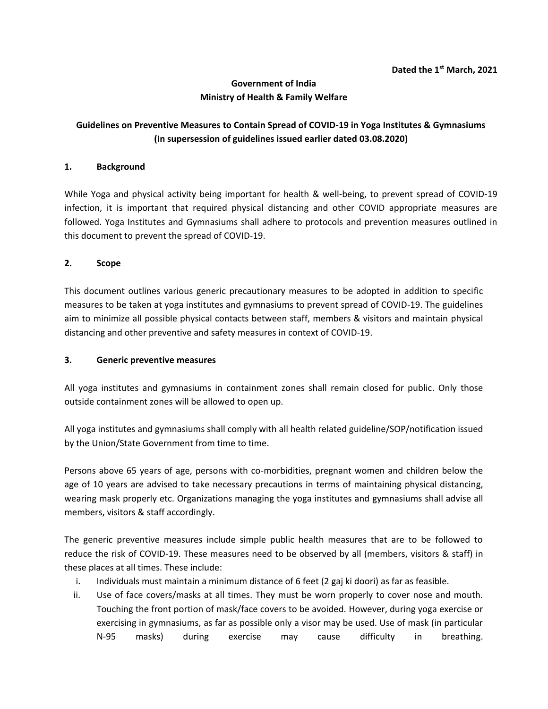# **Government of India Ministry of Health & Family Welfare**

# **Guidelines on Preventive Measures to Contain Spread of COVID-19 in Yoga Institutes & Gymnasiums (In supersession of guidelines issued earlier dated 03.08.2020)**

### **1. Background**

While Yoga and physical activity being important for health & well-being, to prevent spread of COVID-19 infection, it is important that required physical distancing and other COVID appropriate measures are followed. Yoga Institutes and Gymnasiums shall adhere to protocols and prevention measures outlined in this document to prevent the spread of COVID-19.

### **2. Scope**

This document outlines various generic precautionary measures to be adopted in addition to specific measures to be taken at yoga institutes and gymnasiums to prevent spread of COVID-19. The guidelines aim to minimize all possible physical contacts between staff, members & visitors and maintain physical distancing and other preventive and safety measures in context of COVID-19.

#### **3. Generic preventive measures**

All yoga institutes and gymnasiums in containment zones shall remain closed for public. Only those outside containment zones will be allowed to open up.

All yoga institutes and gymnasiums shall comply with all health related guideline/SOP/notification issued by the Union/State Government from time to time.

Persons above 65 years of age, persons with co-morbidities, pregnant women and children below the age of 10 years are advised to take necessary precautions in terms of maintaining physical distancing, wearing mask properly etc. Organizations managing the yoga institutes and gymnasiums shall advise all members, visitors & staff accordingly.

The generic preventive measures include simple public health measures that are to be followed to reduce the risk of COVID-19. These measures need to be observed by all (members, visitors & staff) in these places at all times. These include:

- i. Individuals must maintain a minimum distance of 6 feet (2 gaj ki doori) as far as feasible.
- ii. Use of face covers/masks at all times. They must be worn properly to cover nose and mouth. Touching the front portion of mask/face covers to be avoided. However, during yoga exercise or exercising in gymnasiums, as far as possible only a visor may be used. Use of mask (in particular N-95 masks) during exercise may cause difficulty in breathing.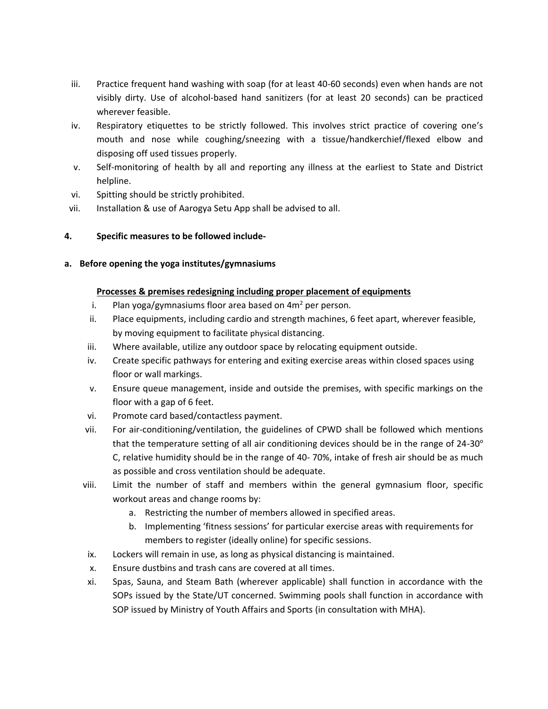- iii. Practice frequent hand washing with soap (for at least 40-60 seconds) even when hands are not visibly dirty. Use of alcohol-based hand sanitizers (for at least 20 seconds) can be practiced wherever feasible.
- iv. Respiratory etiquettes to be strictly followed. This involves strict practice of covering one's mouth and nose while coughing/sneezing with a tissue/handkerchief/flexed elbow and disposing off used tissues properly.
- v. Self-monitoring of health by all and reporting any illness at the earliest to State and District helpline.
- vi. Spitting should be strictly prohibited.
- vii. Installation & use of Aarogya Setu App shall be advised to all.

# **4. Specific measures to be followed include-**

# **a. Before opening the yoga institutes/gymnasiums**

# **Processes & premises redesigning including proper placement of equipments**

- i. Plan yoga/gymnasiums floor area based on  $4m<sup>2</sup>$  per person.
- ii. Place equipments, including cardio and strength machines, 6 feet apart, wherever feasible, by moving equipment to facilitate physical distancing.
- iii. Where available, utilize any outdoor space by relocating equipment outside.
- iv. Create specific pathways for entering and exiting exercise areas within closed spaces using floor or wall markings.
- v. Ensure queue management, inside and outside the premises, with specific markings on the floor with a gap of 6 feet.
- vi. Promote card based/contactless payment.
- vii. For air-conditioning/ventilation, the guidelines of CPWD shall be followed which mentions that the temperature setting of all air conditioning devices should be in the range of  $24-30^\circ$ C, relative humidity should be in the range of 40- 70%, intake of fresh air should be as much as possible and cross ventilation should be adequate.
- viii. Limit the number of staff and members within the general gymnasium floor, specific workout areas and change rooms by:
	- a. Restricting the number of members allowed in specified areas.
	- b. Implementing 'fitness sessions' for particular exercise areas with requirements for members to register (ideally online) for specific sessions.
- ix. Lockers will remain in use, as long as physical distancing is maintained.
- x. Ensure dustbins and trash cans are covered at all times.
- xi. Spas, Sauna, and Steam Bath (wherever applicable) shall function in accordance with the SOPs issued by the State/UT concerned. Swimming pools shall function in accordance with SOP issued by Ministry of Youth Affairs and Sports (in consultation with MHA).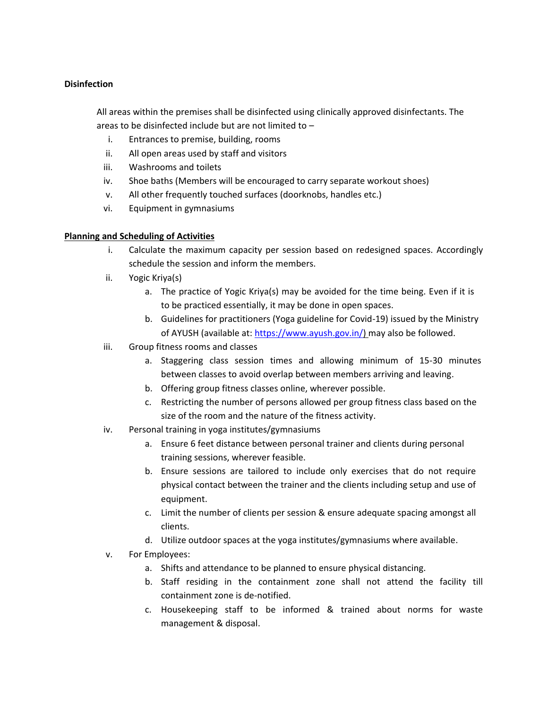### **Disinfection**

All areas within the premises shall be disinfected using clinically approved disinfectants. The areas to be disinfected include but are not limited to –

- i. Entrances to premise, building, rooms
- ii. All open areas used by staff and visitors
- iii. Washrooms and toilets
- iv. Shoe baths (Members will be encouraged to carry separate workout shoes)
- v. All other frequently touched surfaces (doorknobs, handles etc.)
- vi. Equipment in gymnasiums

# **Planning and Scheduling of Activities**

- i. Calculate the maximum capacity per session based on redesigned spaces. Accordingly schedule the session and inform the members.
- ii. Yogic Kriya(s)
	- a. The practice of Yogic Kriya(s) may be avoided for the time being. Even if it is to be practiced essentially, it may be done in open spaces.
	- b. Guidelines for practitioners (Yoga guideline for Covid-19) issued by the Ministry of AYUSH (available at[: https://www.ayush.gov.in/\) m](https://www.ayush.gov.in/)ay also be followed.
- iii. Group fitness rooms and classes
	- a. Staggering class session times and allowing minimum of 15-30 minutes between classes to avoid overlap between members arriving and leaving.
	- b. Offering group fitness classes online, wherever possible.
	- c. Restricting the number of persons allowed per group fitness class based on the size of the room and the nature of the fitness activity.
- iv. Personal training in yoga institutes/gymnasiums
	- a. Ensure 6 feet distance between personal trainer and clients during personal training sessions, wherever feasible.
	- b. Ensure sessions are tailored to include only exercises that do not require physical contact between the trainer and the clients including setup and use of equipment.
	- c. Limit the number of clients per session & ensure adequate spacing amongst all clients.
	- d. Utilize outdoor spaces at the yoga institutes/gymnasiums where available.
- v. For Employees:
	- a. Shifts and attendance to be planned to ensure physical distancing.
	- b. Staff residing in the containment zone shall not attend the facility till containment zone is de-notified.
	- c. Housekeeping staff to be informed & trained about norms for waste management & disposal.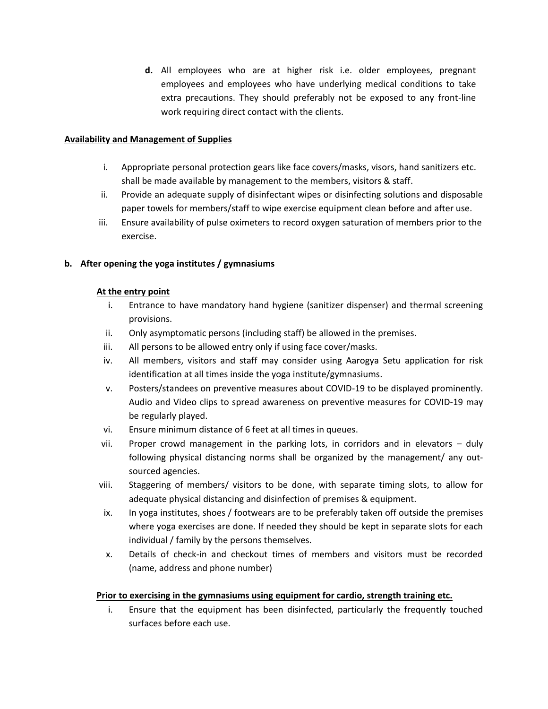**d.** All employees who are at higher risk i.e. older employees, pregnant employees and employees who have underlying medical conditions to take extra precautions. They should preferably not be exposed to any front-line work requiring direct contact with the clients.

#### **Availability and Management of Supplies**

- i. Appropriate personal protection gears like face covers/masks, visors, hand sanitizers etc. shall be made available by management to the members, visitors & staff.
- ii. Provide an adequate supply of disinfectant wipes or disinfecting solutions and disposable paper towels for members/staff to wipe exercise equipment clean before and after use.
- iii. Ensure availability of pulse oximeters to record oxygen saturation of members prior to the exercise.

# **b. After opening the yoga institutes / gymnasiums**

### **At the entry point**

- i. Entrance to have mandatory hand hygiene (sanitizer dispenser) and thermal screening provisions.
- ii. Only asymptomatic persons (including staff) be allowed in the premises.
- iii. All persons to be allowed entry only if using face cover/masks.
- iv. All members, visitors and staff may consider using Aarogya Setu application for risk identification at all times inside the yoga institute/gymnasiums.
- v. Posters/standees on preventive measures about COVID-19 to be displayed prominently. Audio and Video clips to spread awareness on preventive measures for COVID-19 may be regularly played.
- vi. Ensure minimum distance of 6 feet at all times in queues.
- vii. Proper crowd management in the parking lots, in corridors and in elevators duly following physical distancing norms shall be organized by the management/ any outsourced agencies.
- viii. Staggering of members/ visitors to be done, with separate timing slots, to allow for adequate physical distancing and disinfection of premises & equipment.
- ix. In yoga institutes, shoes / footwears are to be preferably taken off outside the premises where yoga exercises are done. If needed they should be kept in separate slots for each individual / family by the persons themselves.
- x. Details of check-in and checkout times of members and visitors must be recorded (name, address and phone number)

# **Prior to exercising in the gymnasiums using equipment for cardio, strength training etc.**

i. Ensure that the equipment has been disinfected, particularly the frequently touched surfaces before each use.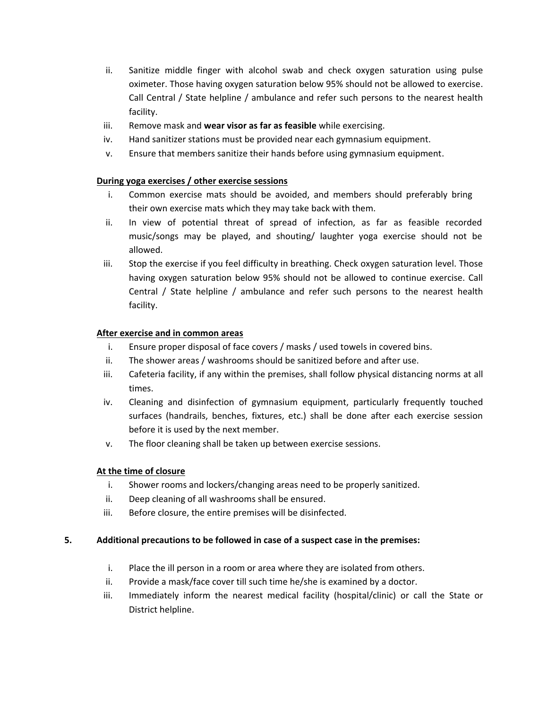- ii. Sanitize middle finger with alcohol swab and check oxygen saturation using pulse oximeter. Those having oxygen saturation below 95% should not be allowed to exercise. Call Central / State helpline / ambulance and refer such persons to the nearest health facility.
- iii. Remove mask and **wear visor as far as feasible** while exercising.
- iv. Hand sanitizer stations must be provided near each gymnasium equipment.
- v. Ensure that members sanitize their hands before using gymnasium equipment.

#### **During yoga exercises / other exercise sessions**

- i. Common exercise mats should be avoided, and members should preferably bring their own exercise mats which they may take back with them.
- ii. In view of potential threat of spread of infection, as far as feasible recorded music/songs may be played, and shouting/ laughter yoga exercise should not be allowed.
- iii. Stop the exercise if you feel difficulty in breathing. Check oxygen saturation level. Those having oxygen saturation below 95% should not be allowed to continue exercise. Call Central / State helpline / ambulance and refer such persons to the nearest health facility.

#### **After exercise and in common areas**

- i. Ensure proper disposal of face covers / masks / used towels in covered bins.
- ii. The shower areas / washrooms should be sanitized before and after use.
- iii. Cafeteria facility, if any within the premises, shall follow physical distancing norms at all times.
- iv. Cleaning and disinfection of gymnasium equipment, particularly frequently touched surfaces (handrails, benches, fixtures, etc.) shall be done after each exercise session before it is used by the next member.
- v. The floor cleaning shall be taken up between exercise sessions.

#### **At the time of closure**

- i. Shower rooms and lockers/changing areas need to be properly sanitized.
- ii. Deep cleaning of all washrooms shall be ensured.
- iii. Before closure, the entire premises will be disinfected.

#### **5. Additional precautions to be followed in case of a suspect case in the premises:**

- i. Place the ill person in a room or area where they are isolated from others.
- ii. Provide a mask/face cover till such time he/she is examined by a doctor.
- iii. Immediately inform the nearest medical facility (hospital/clinic) or call the State or District helpline.